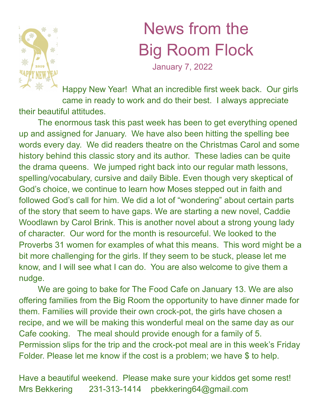

## News from the Big Room Flock January 7, 2022

Happy New Year! What an incredible first week back. Our girls came in ready to work and do their best. I always appreciate their beautiful attitudes.

The enormous task this past week has been to get everything opened up and assigned for January. We have also been hitting the spelling bee words every day. We did readers theatre on the Christmas Carol and some history behind this classic story and its author. These ladies can be quite the drama queens. We jumped right back into our regular math lessons, spelling/vocabulary, cursive and daily Bible. Even though very skeptical of God's choice, we continue to learn how Moses stepped out in faith and followed God's call for him. We did a lot of "wondering" about certain parts of the story that seem to have gaps. We are starting a new novel, Caddie Woodlawn by Carol Brink. This is another novel about a strong young lady of character. Our word for the month is resourceful. We looked to the Proverbs 31 women for examples of what this means. This word might be a bit more challenging for the girls. If they seem to be stuck, please let me know, and I will see what I can do. You are also welcome to give them a nudge.

We are going to bake for The Food Cafe on January 13. We are also offering families from the Big Room the opportunity to have dinner made for them. Families will provide their own crock-pot, the girls have chosen a recipe, and we will be making this wonderful meal on the same day as our Cafe cooking. The meal should provide enough for a family of 5. Permission slips for the trip and the crock-pot meal are in this week's Friday Folder. Please let me know if the cost is a problem; we have \$ to help.

Have a beautiful weekend. Please make sure your kiddos get some rest! Mrs Bekkering 231-313-1414 pbekkering64@gmail.com